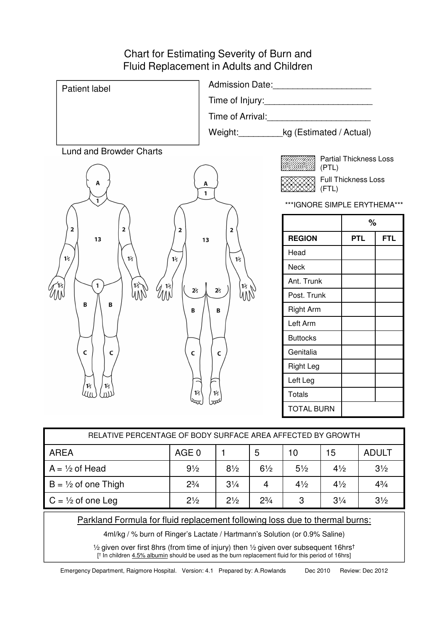## Chart for Estimating Severity of Burn and Fluid Replacement in Adults and Children

| Patient label                                                                                            | Admission Date: Management Contractor Contractor    |                              |                               |            |  |
|----------------------------------------------------------------------------------------------------------|-----------------------------------------------------|------------------------------|-------------------------------|------------|--|
|                                                                                                          |                                                     |                              |                               |            |  |
|                                                                                                          | Time of Arrival: Time of Arrival:                   |                              |                               |            |  |
|                                                                                                          | Weight:____________kg (Estimated / Actual)          |                              |                               |            |  |
| <b>Lund and Browder Charts</b>                                                                           |                                                     |                              | <b>Partial Thickness Loss</b> |            |  |
|                                                                                                          |                                                     | (PTL)                        |                               |            |  |
| Α                                                                                                        | Α<br>$\mathbf{1}$                                   | Full Thickness Loss<br>(FTL) |                               |            |  |
| $\overline{1}$                                                                                           |                                                     | ***IGNORE SIMPLE ERYTHEMA*** |                               |            |  |
| $\mathbf 2$<br>$\overline{\mathbf{2}}$<br>2<br>13<br>$1\frac{1}{2}$<br>$1\overline{2}$<br>$1\frac{1}{2}$ |                                                     |                              | $\%$                          |            |  |
|                                                                                                          | $\overline{\mathbf{2}}$<br>13                       | <b>REGION</b>                | <b>PTL</b>                    | <b>FTL</b> |  |
|                                                                                                          | $1\frac{1}{2}$                                      | Head                         |                               |            |  |
|                                                                                                          |                                                     | <b>Neck</b>                  |                               |            |  |
| $\mathbf{1}$                                                                                             | $\left 1\right\rangle$ $\left\langle \right\rangle$ | Ant. Trunk                   |                               |            |  |
| 13<br>WW<br>$\mathcal{U}^{\text{12}}_{\text{NN}}$<br>$\mathbb{W}^2$<br>2 <sup>1</sup>                    | 2 <sub>2</sub><br>WW                                | Post. Trunk                  |                               |            |  |
| B<br>B<br>B                                                                                              | B                                                   | <b>Right Arm</b>             |                               |            |  |
|                                                                                                          |                                                     | Left Arm                     |                               |            |  |
| $\mathsf c$<br>$\mathsf{C}$<br>$\mathsf{C}$<br>1 <sup>1</sup><br>$1\frac{1}{2}$<br>תונו<br>40<br>$1\%$   |                                                     | <b>Buttocks</b>              |                               |            |  |
|                                                                                                          | $\mathsf{C}$                                        | Genitalia                    |                               |            |  |
|                                                                                                          |                                                     | <b>Right Leg</b>             |                               |            |  |
|                                                                                                          |                                                     | Left Leg                     |                               |            |  |
|                                                                                                          | $1\frac{1}{2}$                                      | <b>Totals</b>                |                               |            |  |
|                                                                                                          |                                                     | <b>TOTAL BURN</b>            |                               |            |  |
|                                                                                                          |                                                     |                              |                               |            |  |

| RELATIVE PERCENTAGE OF BODY SURFACE AREA AFFECTED BY GROWTH |                |                |                |                |                |                |
|-------------------------------------------------------------|----------------|----------------|----------------|----------------|----------------|----------------|
| <b>AREA</b>                                                 | AGE 0          |                | 5              | 10             | 15             | <b>ADULT</b>   |
| $A = \frac{1}{2}$ of Head                                   | $9\frac{1}{2}$ | $8\frac{1}{2}$ | $6\frac{1}{2}$ | $5\frac{1}{2}$ | $4\frac{1}{2}$ | $3\frac{1}{2}$ |
| $B = \frac{1}{2}$ of one Thigh                              | $2^{3}/_{4}$   | $3\frac{1}{4}$ | 4              | $4\frac{1}{2}$ | $4\frac{1}{2}$ | $4^{3}/_{4}$   |
| $C = \frac{1}{2}$ of one Leg                                | $2\frac{1}{2}$ | $2\frac{1}{2}$ | $2^{3}/_{4}$   | 3              | $3\frac{1}{4}$ | $3\frac{1}{2}$ |

#### Parkland Formula for fluid replacement following loss due to thermal burns:

4ml/kg / % burn of Ringer's Lactate / Hartmann's Solution (or 0.9% Saline)

½ given over first 8hrs (from time of injury) then ½ given over subsequent 16hrs † [ † In children 4.5% albumin should be used as the burn replacement fluid for this period of 16hrs]